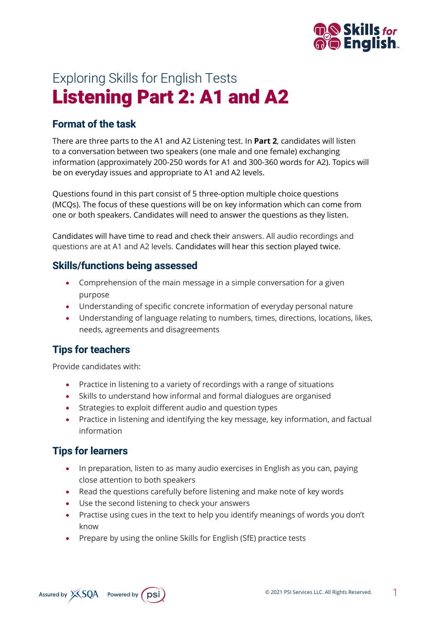

# Exploring Skills for English Tests Listening Part 2: A1 and A2

## **Format of the task**

There are three parts to the A1 and A2 Listening test. In **Part 2**, candidates will listen to a conversation between two speakers (one male and one female) exchanging information (approximately 200-250 words for A1 and 300-360 words for A2). Topics will be on everyday issues and appropriate to A1 and A2 levels.

Questions found in this part consist of 5 three-option multiple choice questions (MCQs). The focus of these questions will be on key information which can come from one or both speakers. Candidates will need to answer the questions as they listen.

Candidates will have time to read and check their answers. All audio recordings and questions are at A1 and A2 levels. Candidates will hear this section played twice.

#### **Skills/functions being assessed**

- Comprehension of the main message in a simple conversation for a given purpose
- Understanding of specific concrete information of everyday personal nature
- Understanding of language relating to numbers, times, directions, locations, likes, needs, agreements and disagreements

### **Tips for teachers**

Provide candidates with:

- Practice in listening to a variety of recordings with a range of situations
- Skills to understand how informal and formal dialogues are organised
- Strategies to exploit different audio and question types
- Practice in listening and identifying the key message, key information, and factual information

### **Tips for learners**

- In preparation, listen to as many audio exercises in English as you can, paying close attention to both speakers
- Read the questions carefully before listening and make note of key words
- Use the second listening to check your answers
- Practise using cues in the text to help you identify meanings of words you don't know
- Prepare by using the online Skills for English (SfE) practice tests